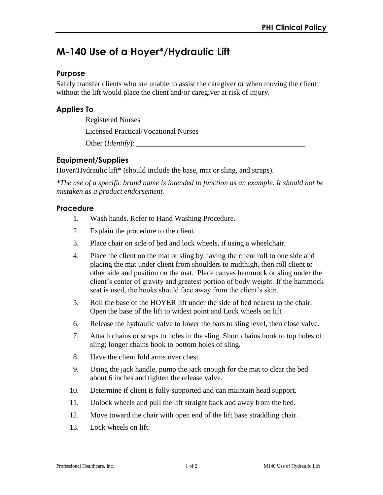# **M-140 Use of a Hoyer\*/Hydraulic Lift**

#### **Purpose**

Safely transfer clients who are unable to assist the caregiver or when moving the client without the lift would place the client and/or caregiver at risk of injury.

### **Applies To**

Registered Nurses

Licensed Practical/Vocational Nurses

Other (*Identify*): \_\_\_\_\_\_\_\_\_\_\_\_\_\_\_\_\_\_\_\_\_\_\_\_\_\_\_\_\_\_\_\_\_\_\_\_\_\_\_\_\_\_\_\_\_

# **Equipment/Supplies**

Hoyer/Hydraulic lift\* (should include the base, mat or sling, and straps).

*\*The use of a specific brand name is intended to function as an example. It should not be mistaken as a product endorsement.*

#### **Procedure**

- 1. Wash hands. Refer to Hand Washing Procedure.
- 2. Explain the procedure to the client.
- 3. Place chair on side of bed and lock wheels, if using a wheelchair.
- 4. Place the client on the mat or sling by having the client roll to one side and placing the mat under client from shoulders to midthigh, then roll client to other side and position on the mat. Place canvas hammock or sling under the client's center of gravity and greatest portion of body weight. If the hammock seat is used, the hooks should face away from the client's skin.
- 5. Roll the base of the HOYER lift under the side of bed nearest to the chair. Open the base of the lift to widest point and Lock wheels on lift
- 6. Release the hydraulic valve to lower the bars to sling level, then close valve.
- 7. Attach chains or straps to holes in the sling. Short chains hook to top holes of sling; longer chains hook to bottom holes of sling.
- 8. Have the client fold arms over chest.
- 9. Using the jack handle, pump the jack enough for the mat to clear the bed about 6 inches and tighten the release valve.
- 10. Determine if client is fully supported and can maintain head support.
- 11. Unlock wheels and pull the lift straight back and away from the bed.
- 12. Move toward the chair with open end of the lift base straddling chair.
- 13. Lock wheels on lift.